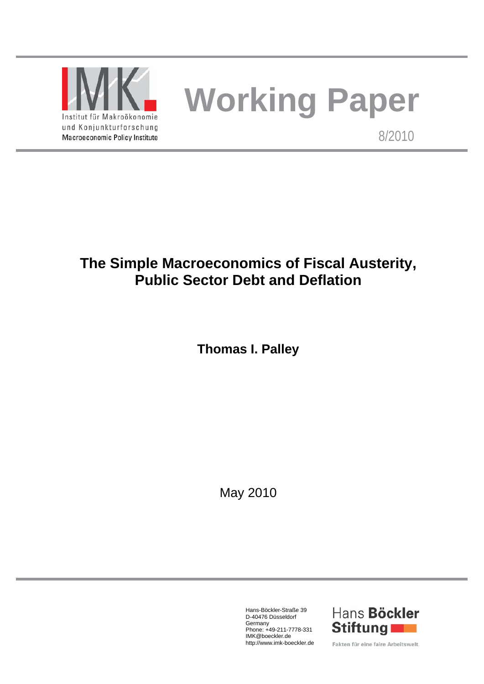

# **Working Paper**

8/2010

## **The Simple Macroeconomics of Fiscal Austerity, Public Sector Debt and Deflation**

**Thomas I. Palley** 

May 2010

Hans-Böckler-Straße 39 D-40476 Düsseldorf Germany Phone: +49-211-7778-331 IMK@boeckler.de http://www.imk-boeckler.de



Fakten für eine faire Arbeitswelt.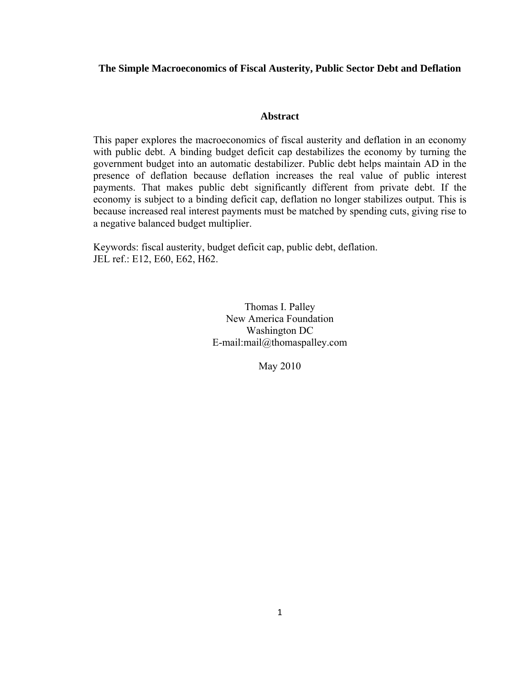#### **The Simple Macroeconomics of Fiscal Austerity, Public Sector Debt and Deflation**

#### **Abstract**

This paper explores the macroeconomics of fiscal austerity and deflation in an economy with public debt. A binding budget deficit cap destabilizes the economy by turning the government budget into an automatic destabilizer. Public debt helps maintain AD in the presence of deflation because deflation increases the real value of public interest payments. That makes public debt significantly different from private debt. If the economy is subject to a binding deficit cap, deflation no longer stabilizes output. This is because increased real interest payments must be matched by spending cuts, giving rise to a negative balanced budget multiplier.

Keywords: fiscal austerity, budget deficit cap, public debt, deflation. JEL ref.: E12, E60, E62, H62.

> Thomas I. Palley New America Foundation Washington DC E-mail:mail@thomaspalley.com

> > May 2010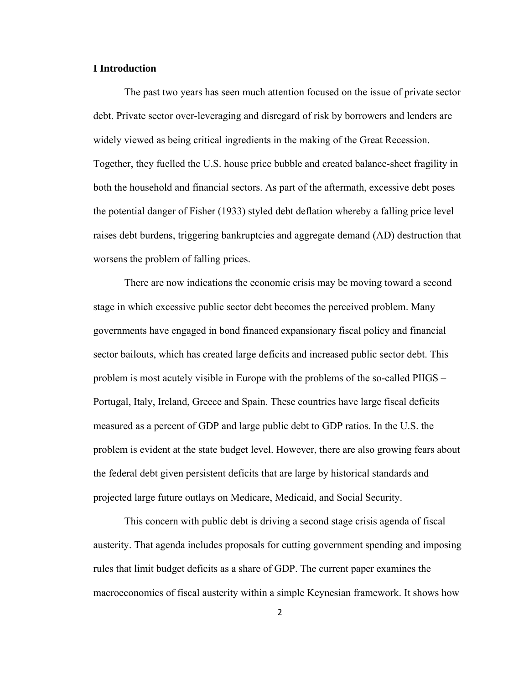#### **I Introduction**

 The past two years has seen much attention focused on the issue of private sector debt. Private sector over-leveraging and disregard of risk by borrowers and lenders are widely viewed as being critical ingredients in the making of the Great Recession. Together, they fuelled the U.S. house price bubble and created balance-sheet fragility in both the household and financial sectors. As part of the aftermath, excessive debt poses the potential danger of Fisher (1933) styled debt deflation whereby a falling price level raises debt burdens, triggering bankruptcies and aggregate demand (AD) destruction that worsens the problem of falling prices.

 There are now indications the economic crisis may be moving toward a second stage in which excessive public sector debt becomes the perceived problem. Many governments have engaged in bond financed expansionary fiscal policy and financial sector bailouts, which has created large deficits and increased public sector debt. This problem is most acutely visible in Europe with the problems of the so-called PIIGS – Portugal, Italy, Ireland, Greece and Spain. These countries have large fiscal deficits measured as a percent of GDP and large public debt to GDP ratios. In the U.S. the problem is evident at the state budget level. However, there are also growing fears about the federal debt given persistent deficits that are large by historical standards and projected large future outlays on Medicare, Medicaid, and Social Security.

 This concern with public debt is driving a second stage crisis agenda of fiscal austerity. That agenda includes proposals for cutting government spending and imposing rules that limit budget deficits as a share of GDP. The current paper examines the macroeconomics of fiscal austerity within a simple Keynesian framework. It shows how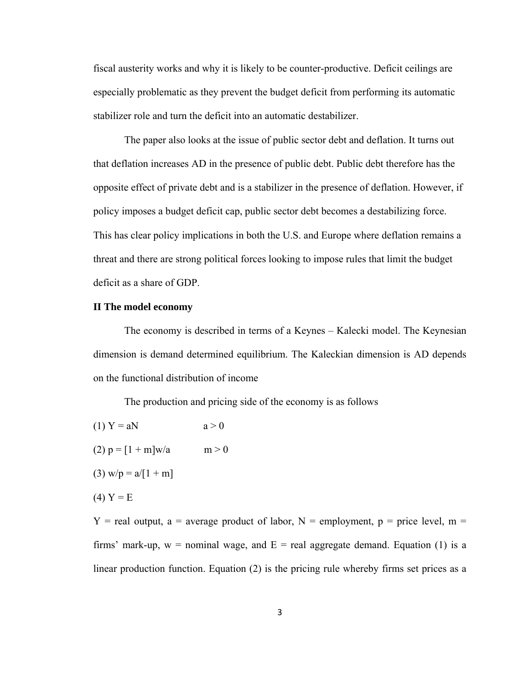fiscal austerity works and why it is likely to be counter-productive. Deficit ceilings are especially problematic as they prevent the budget deficit from performing its automatic stabilizer role and turn the deficit into an automatic destabilizer.

 The paper also looks at the issue of public sector debt and deflation. It turns out that deflation increases AD in the presence of public debt. Public debt therefore has the opposite effect of private debt and is a stabilizer in the presence of deflation. However, if policy imposes a budget deficit cap, public sector debt becomes a destabilizing force. This has clear policy implications in both the U.S. and Europe where deflation remains a threat and there are strong political forces looking to impose rules that limit the budget deficit as a share of GDP.

#### **II The model economy**

 The economy is described in terms of a Keynes – Kalecki model. The Keynesian dimension is demand determined equilibrium. The Kaleckian dimension is AD depends on the functional distribution of income

The production and pricing side of the economy is as follows

(1)  $Y = aN$   $a > 0$ (2)  $p = [1 + m]w/a$  m > 0 (3) w/p =  $a/[1 + m]$  $(4)$  Y = E

 $Y =$  real output, a = average product of labor, N = employment, p = price level, m = firms' mark-up,  $w =$  nominal wage, and  $E =$  real aggregate demand. Equation (1) is a linear production function. Equation (2) is the pricing rule whereby firms set prices as a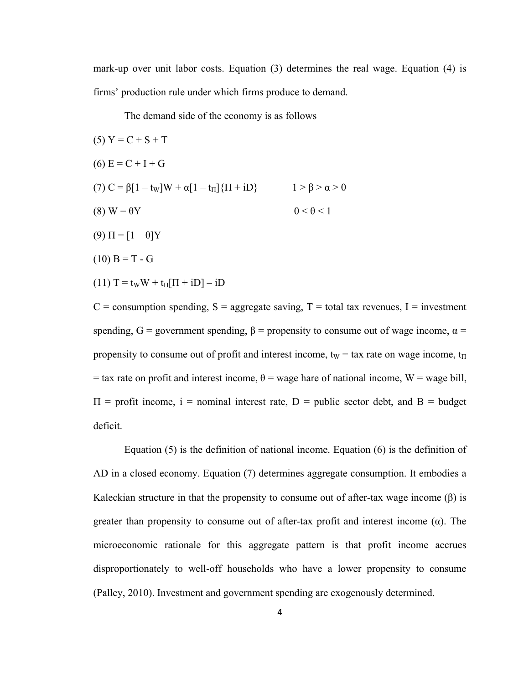mark-up over unit labor costs. Equation (3) determines the real wage. Equation (4) is firms' production rule under which firms produce to demand.

The demand side of the economy is as follows

(5) 
$$
Y = C + S + T
$$
  
\n(6)  $E = C + I + G$   
\n(7)  $C = \beta[1 - t_w]W + \alpha[1 - t_{\Pi}]\{\Pi + iD\}$   $1 > \beta > \alpha > 0$   
\n(8)  $W = \theta Y$   $0 < \theta < 1$   
\n(9)  $\Pi = [1 - \theta]Y$   
\n(10)  $B = T - G$ 

$$
(11) T = tWW + t\Pi[ $\Pi$  + iD
$$
] – iD

 $C =$  consumption spending,  $S =$  aggregate saving,  $T =$  total tax revenues,  $I =$  investment spending,  $G =$  government spending,  $\beta =$  propensity to consume out of wage income,  $\alpha =$ propensity to consume out of profit and interest income,  $t_W$  = tax rate on wage income,  $t_H$ = tax rate on profit and interest income,  $\theta$  = wage hare of national income, W = wage bill,  $\Pi$  = profit income, i = nominal interest rate, D = public sector debt, and B = budget deficit.

 Equation (5) is the definition of national income. Equation (6) is the definition of AD in a closed economy. Equation (7) determines aggregate consumption. It embodies a Kaleckian structure in that the propensity to consume out of after-tax wage income  $(\beta)$  is greater than propensity to consume out of after-tax profit and interest income  $(\alpha)$ . The microeconomic rationale for this aggregate pattern is that profit income accrues disproportionately to well-off households who have a lower propensity to consume (Palley, 2010). Investment and government spending are exogenously determined.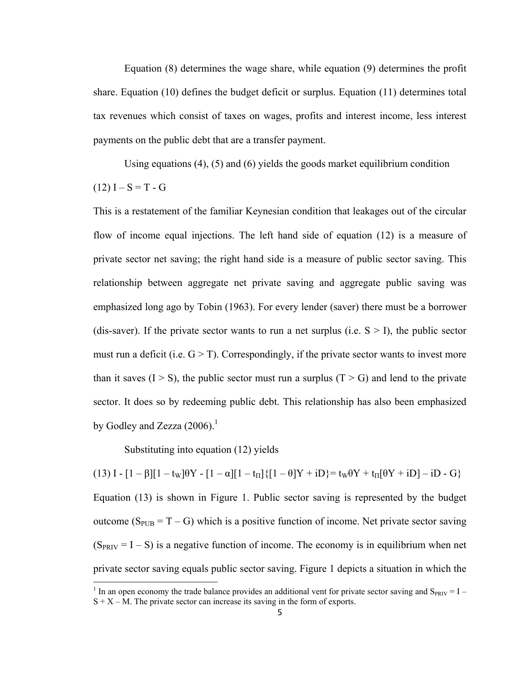Equation (8) determines the wage share, while equation (9) determines the profit share. Equation (10) defines the budget deficit or surplus. Equation (11) determines total tax revenues which consist of taxes on wages, profits and interest income, less interest payments on the public debt that are a transfer payment.

Using equations  $(4)$ ,  $(5)$  and  $(6)$  yields the goods market equilibrium condition

 $(12) I - S = T - G$ 

This is a restatement of the familiar Keynesian condition that leakages out of the circular flow of income equal injections. The left hand side of equation (12) is a measure of private sector net saving; the right hand side is a measure of public sector saving. This relationship between aggregate net private saving and aggregate public saving was emphasized long ago by Tobin (1963). For every lender (saver) there must be a borrower (dis-saver). If the private sector wants to run a net surplus (i.e.  $S > I$ ), the public sector must run a deficit (i.e.  $G > T$ ). Correspondingly, if the private sector wants to invest more than it saves  $(I > S)$ , the public sector must run a surplus  $(T > G)$  and lend to the private sector. It does so by redeeming public debt. This relationship has also been emphasized by Godley and Zezza  $(2006)$ .<sup>1</sup>

Substituting into equation (12) yields

(13)  $I - [1 - \beta][1 - t_w]\theta Y - [1 - \alpha][1 - t_{\Pi}]\{[1 - \theta]Y + iD\} = t_w\theta Y + t_{\Pi}[\theta Y + iD] - iD - G\}$ Equation (13) is shown in Figure 1. Public sector saving is represented by the budget outcome ( $S_{PUB} = T - G$ ) which is a positive function of income. Net private sector saving  $(S_{PRIV} = I - S)$  is a negative function of income. The economy is in equilibrium when net private sector saving equals public sector saving. Figure 1 depicts a situation in which the

<sup>&</sup>lt;sup>1</sup> In an open economy the trade balance provides an additional vent for private sector saving and  $S_{PRIV} = I S + X - M$ . The private sector can increase its saving in the form of exports.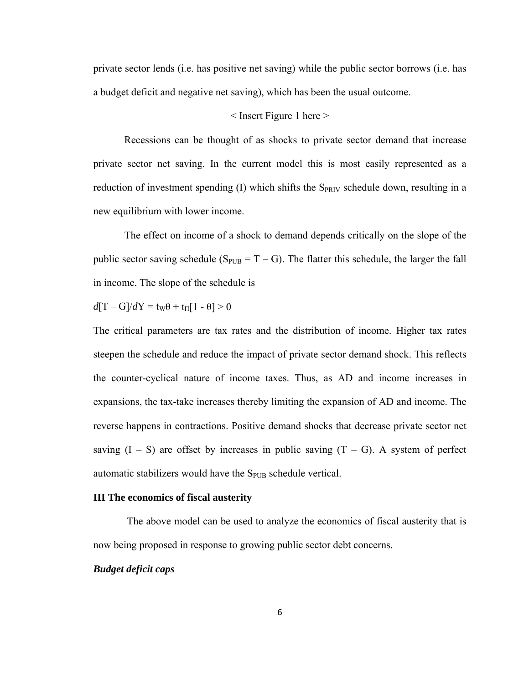private sector lends (i.e. has positive net saving) while the public sector borrows (i.e. has a budget deficit and negative net saving), which has been the usual outcome.

#### $\leq$  Insert Figure 1 here  $>$

 Recessions can be thought of as shocks to private sector demand that increase private sector net saving. In the current model this is most easily represented as a reduction of investment spending  $(I)$  which shifts the S<sub>PRIV</sub> schedule down, resulting in a new equilibrium with lower income.

 The effect on income of a shock to demand depends critically on the slope of the public sector saving schedule ( $S_{PUB} = T - G$ ). The flatter this schedule, the larger the fall in income. The slope of the schedule is

 $d[T - G]/dY = t_W\theta + t_H[1 - \theta] > 0$ 

The critical parameters are tax rates and the distribution of income. Higher tax rates steepen the schedule and reduce the impact of private sector demand shock. This reflects the counter-cyclical nature of income taxes. Thus, as AD and income increases in expansions, the tax-take increases thereby limiting the expansion of AD and income. The reverse happens in contractions. Positive demand shocks that decrease private sector net saving  $(I - S)$  are offset by increases in public saving  $(T - G)$ . A system of perfect automatic stabilizers would have the  $S_{PUB}$  schedule vertical.

#### **III The economics of fiscal austerity**

 The above model can be used to analyze the economics of fiscal austerity that is now being proposed in response to growing public sector debt concerns.

#### *Budget deficit caps*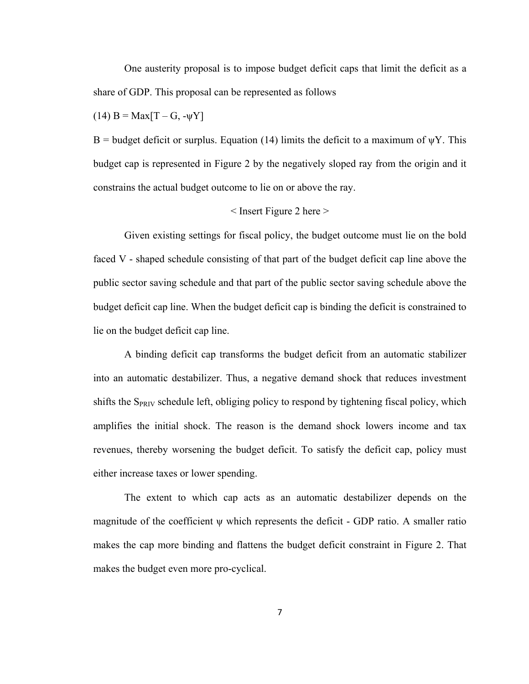One austerity proposal is to impose budget deficit caps that limit the deficit as a share of GDP. This proposal can be represented as follows

(14)  $B = Max[T - G, -\psi Y]$ 

B = budget deficit or surplus. Equation (14) limits the deficit to a maximum of  $\psi$ Y. This budget cap is represented in Figure 2 by the negatively sloped ray from the origin and it constrains the actual budget outcome to lie on or above the ray.

#### $\leq$  Insert Figure 2 here  $>$

 Given existing settings for fiscal policy, the budget outcome must lie on the bold faced V - shaped schedule consisting of that part of the budget deficit cap line above the public sector saving schedule and that part of the public sector saving schedule above the budget deficit cap line. When the budget deficit cap is binding the deficit is constrained to lie on the budget deficit cap line.

 A binding deficit cap transforms the budget deficit from an automatic stabilizer into an automatic destabilizer. Thus, a negative demand shock that reduces investment shifts the  $S_{PRIV}$  schedule left, obliging policy to respond by tightening fiscal policy, which amplifies the initial shock. The reason is the demand shock lowers income and tax revenues, thereby worsening the budget deficit. To satisfy the deficit cap, policy must either increase taxes or lower spending.

 The extent to which cap acts as an automatic destabilizer depends on the magnitude of the coefficient  $\psi$  which represents the deficit - GDP ratio. A smaller ratio makes the cap more binding and flattens the budget deficit constraint in Figure 2. That makes the budget even more pro-cyclical.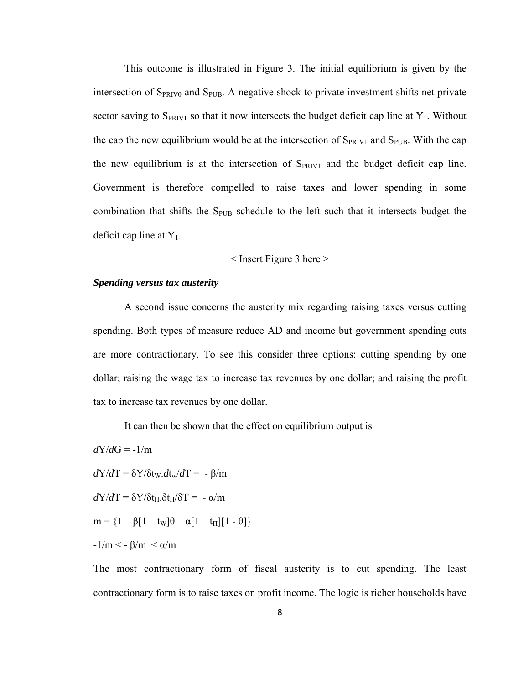This outcome is illustrated in Figure 3. The initial equilibrium is given by the intersection of  $S_{PRIV0}$  and  $S_{PUB}$ . A negative shock to private investment shifts net private sector saving to  $S_{PRIV1}$  so that it now intersects the budget deficit cap line at  $Y_1$ . Without the cap the new equilibrium would be at the intersection of  $S_{PRIV1}$  and  $S_{PUB}$ . With the cap the new equilibrium is at the intersection of  $S_{PRIV1}$  and the budget deficit cap line. Government is therefore compelled to raise taxes and lower spending in some combination that shifts the  $S_{PUB}$  schedule to the left such that it intersects budget the deficit cap line at  $Y_1$ .

 $\leq$  Insert Figure 3 here  $>$ 

#### *Spending versus tax austerity*

 A second issue concerns the austerity mix regarding raising taxes versus cutting spending. Both types of measure reduce AD and income but government spending cuts are more contractionary. To see this consider three options: cutting spending by one dollar; raising the wage tax to increase tax revenues by one dollar; and raising the profit tax to increase tax revenues by one dollar.

It can then be shown that the effect on equilibrium output is

$$
dY/dG = -1/m
$$
  
\n
$$
dY/dT = \delta Y/\delta t_w \cdot dt_w/dT = -\beta/m
$$
  
\n
$$
dY/dT = \delta Y/\delta t_{\Pi} \cdot \delta t_{\Pi}/\delta T = -\alpha/m
$$
  
\n
$$
m = \{1 - \beta[1 - t_w]\theta - \alpha[1 - t_{\Pi}][1 - \theta]\}
$$
  
\n
$$
-1/m < -\beta/m < \alpha/m
$$

The most contractionary form of fiscal austerity is to cut spending. The least contractionary form is to raise taxes on profit income. The logic is richer households have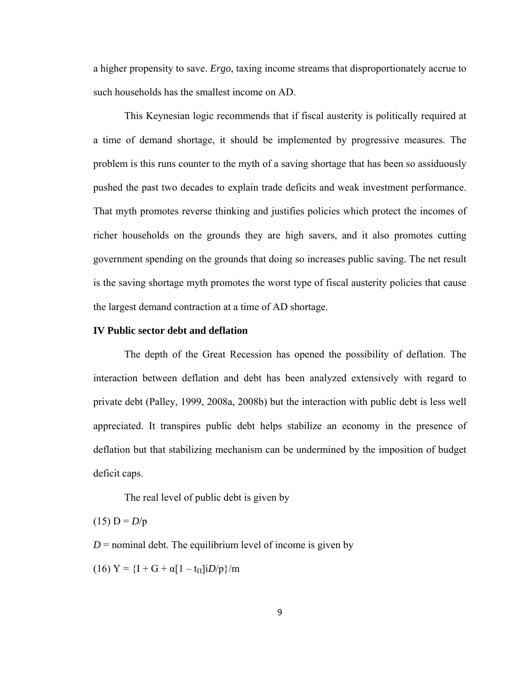a higher propensity to save. *Ergo*, taxing income streams that disproportionately accrue to such households has the smallest income on AD.

 This Keynesian logic recommends that if fiscal austerity is politically required at a time of demand shortage, it should be implemented by progressive measures. The problem is this runs counter to the myth of a saving shortage that has been so assiduously pushed the past two decades to explain trade deficits and weak investment performance. That myth promotes reverse thinking and justifies policies which protect the incomes of richer households on the grounds they are high savers, and it also promotes cutting government spending on the grounds that doing so increases public saving. The net result is the saving shortage myth promotes the worst type of fiscal austerity policies that cause the largest demand contraction at a time of AD shortage.

#### **IV Public sector debt and deflation**

 The depth of the Great Recession has opened the possibility of deflation. The interaction between deflation and debt has been analyzed extensively with regard to private debt (Palley, 1999, 2008a, 2008b) but the interaction with public debt is less well appreciated. It transpires public debt helps stabilize an economy in the presence of deflation but that stabilizing mechanism can be undermined by the imposition of budget deficit caps.

The real level of public debt is given by

 $(15) D = D/p$ 

 $D$  = nominal debt. The equilibrium level of income is given by

(16)  $Y = \{I + G + \alpha [1 - t_{\Pi}]iD/p\}/m$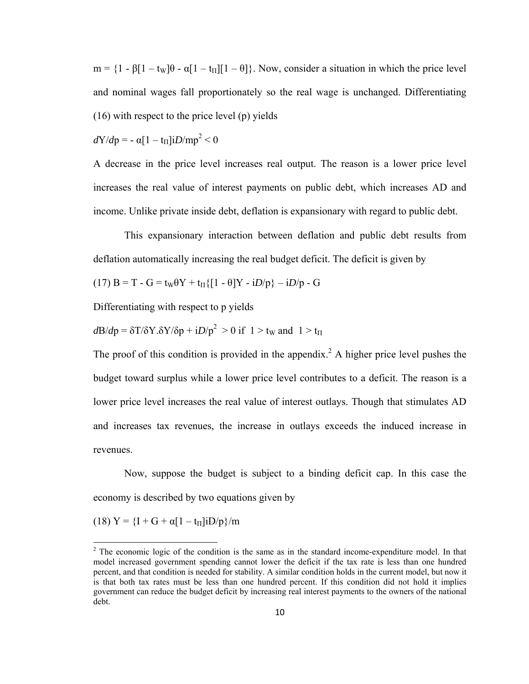$m = \{1 - \beta[1 - t_w]\theta - \alpha[1 - t_\Pi][1 - \theta]\}\$ . Now, consider a situation in which the price level and nominal wages fall proportionately so the real wage is unchanged. Differentiating (16) with respect to the price level (p) yields

 $dY/dp = -\alpha[1 - t_{\text{II}}]iD/mp^2 < 0$ 

A decrease in the price level increases real output. The reason is a lower price level increases the real value of interest payments on public debt, which increases AD and income. Unlike private inside debt, deflation is expansionary with regard to public debt.

 This expansionary interaction between deflation and public debt results from deflation automatically increasing the real budget deficit. The deficit is given by

$$
(17) B = T - G = tW \theta Y + t\Pi \{ [1 - \theta]Y - iD/p \} - iD/p - G
$$

Differentiating with respect to p yields

$$
d\mathbf{B}/d\mathbf{p} = \delta \mathbf{T}/\delta \mathbf{Y}. \delta \mathbf{Y}/\delta \mathbf{p} + iD/\mathbf{p}^2 > 0 \text{ if } 1 > t_w \text{ and } 1 > t_{\Pi}
$$

The proof of this condition is provided in the appendix.<sup>2</sup> A higher price level pushes the budget toward surplus while a lower price level contributes to a deficit. The reason is a lower price level increases the real value of interest outlays. Though that stimulates AD and increases tax revenues, the increase in outlays exceeds the induced increase in revenues.

 Now, suppose the budget is subject to a binding deficit cap. In this case the economy is described by two equations given by

(18)  $Y = \{I + G + \alpha [1 - t_{\Pi}]iD/p\}/m$ 

 $2^2$  The economic logic of the condition is the same as in the standard income-expenditure model. In that model increased government spending cannot lower the deficit if the tax rate is less than one hundred percent, and that condition is needed for stability. A similar condition holds in the current model, but now it is that both tax rates must be less than one hundred percent. If this condition did not hold it implies government can reduce the budget deficit by increasing real interest payments to the owners of the national debt.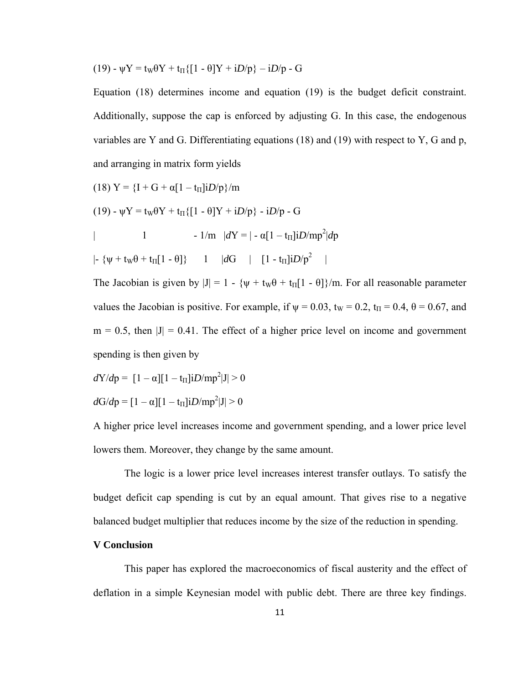$$
(19) - \psi Y = t_W \theta Y + t_\Pi \{ [1 - \theta]Y + iD/p \} - iD/p - G
$$

Equation (18) determines income and equation (19) is the budget deficit constraint. Additionally, suppose the cap is enforced by adjusting G. In this case, the endogenous variables are Y and G. Differentiating equations (18) and (19) with respect to Y, G and p, and arranging in matrix form yields

(18) 
$$
Y = {I + G + \alpha [1 - t_{\Pi}]iD/p} / m
$$
  
\n(19)  $-\psi Y = t_w \theta Y + t_{\Pi} \{ [1 - \theta]Y + iD/p \} - iD/p - G$   
\n $| I - 1/m |dY = | -\alpha [1 - t_{\Pi}]iD/mp^2|dp$   
\n $| - \{\psi + t_w \theta + t_{\Pi}[1 - \theta] \} | I |dG | [1 - t_{\Pi}]iD/p^2 |$ 

The Jacobian is given by  $|J| = 1 - {\psi + t_w \theta + t_{\Pi}[1 - \theta]} / m$ . For all reasonable parameter values the Jacobian is positive. For example, if  $\psi = 0.03$ ,  $t_W = 0.2$ ,  $t_H = 0.4$ ,  $\theta = 0.67$ , and  $m = 0.5$ , then  $|J| = 0.41$ . The effect of a higher price level on income and government spending is then given by

$$
dY/dp = [1 - \alpha][1 - t_{\text{II}}]iD/mp^2|J| > 0
$$

$$
dG/dp = [1 - \alpha][1 - t_{\Pi}]iD/mp^2|J| > 0
$$

A higher price level increases income and government spending, and a lower price level lowers them. Moreover, they change by the same amount.

 The logic is a lower price level increases interest transfer outlays. To satisfy the budget deficit cap spending is cut by an equal amount. That gives rise to a negative balanced budget multiplier that reduces income by the size of the reduction in spending.

#### **V Conclusion**

 This paper has explored the macroeconomics of fiscal austerity and the effect of deflation in a simple Keynesian model with public debt. There are three key findings.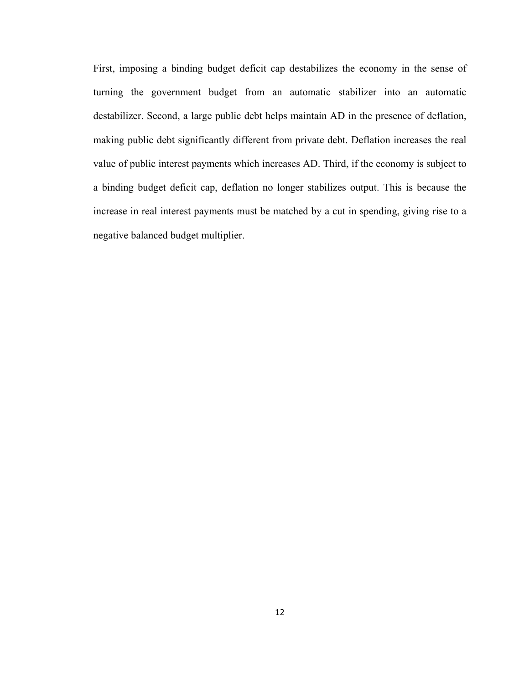First, imposing a binding budget deficit cap destabilizes the economy in the sense of turning the government budget from an automatic stabilizer into an automatic destabilizer. Second, a large public debt helps maintain AD in the presence of deflation, making public debt significantly different from private debt. Deflation increases the real value of public interest payments which increases AD. Third, if the economy is subject to a binding budget deficit cap, deflation no longer stabilizes output. This is because the increase in real interest payments must be matched by a cut in spending, giving rise to a negative balanced budget multiplier.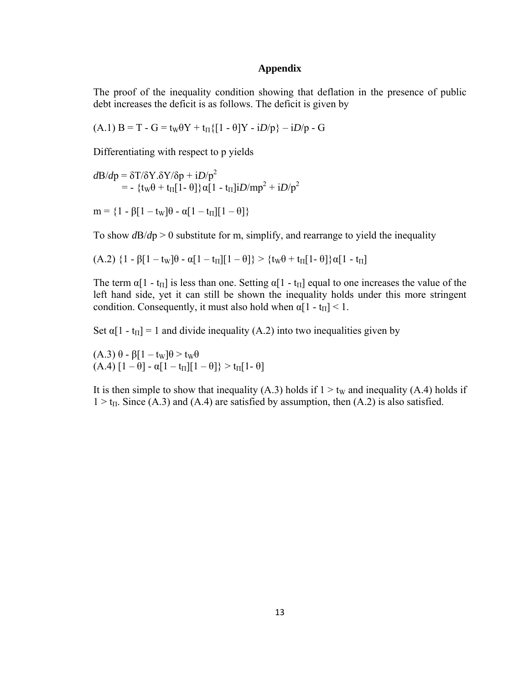#### **Appendix**

The proof of the inequality condition showing that deflation in the presence of public debt increases the deficit is as follows. The deficit is given by

(A.1)  $B = T - G = t_W \theta Y + t_H \{ [1 - \theta]Y - iD/p \} - iD/p - G$ 

Differentiating with respect to p yields

$$
d\mathbf{B}/d\mathbf{p} = \delta \mathbf{T}/\delta \mathbf{Y}. \delta \mathbf{Y}/\delta \mathbf{p} + iD/\mathbf{p}^2
$$
  
= - {tw $\theta$  + tr<sub>II</sub>[1- $\theta$ ]} $\alpha$ [1 - tr<sub>II</sub>]i $D$ /mp<sup>2</sup> + i $D$ /p<sup>2</sup>

$$
\mathbf{m} = \{1 - \beta[1 - t_{\mathrm{W}}]\theta - \alpha[1 - t_{\mathrm{II}}][1 - \theta]\}
$$

To show  $d\mathbf{B}/d\mathbf{p} > 0$  substitute for m, simplify, and rearrange to yield the inequality

$$
(A.2) \{1 - \beta[1 - t_W]\theta - \alpha[1 - t_\Pi][1 - \theta]\} > \{t_W\theta + t_\Pi[1 - \theta]\}\alpha[1 - t_\Pi]
$$

The term  $\alpha[1 - t_{\Pi}]$  is less than one. Setting  $\alpha[1 - t_{\Pi}]$  equal to one increases the value of the left hand side, yet it can still be shown the inequality holds under this more stringent condition. Consequently, it must also hold when  $\alpha[1 - t_{\text{II}}] < 1$ .

Set  $\alpha[1 - t_{\Pi}] = 1$  and divide inequality (A.2) into two inequalities given by

 $(A.3)$  θ - β[1 – t<sub>W</sub>] $\theta$  > t<sub>W</sub> $\theta$  $(A.4) [1 - \theta] - \alpha [1 - t_{\Pi}][1 - \theta] > t_{\Pi}[1 - \theta]$ 

It is then simple to show that inequality (A.3) holds if  $1 > t<sub>W</sub>$  and inequality (A.4) holds if  $1 > t_{II}$ . Since (A.3) and (A.4) are satisfied by assumption, then (A.2) is also satisfied.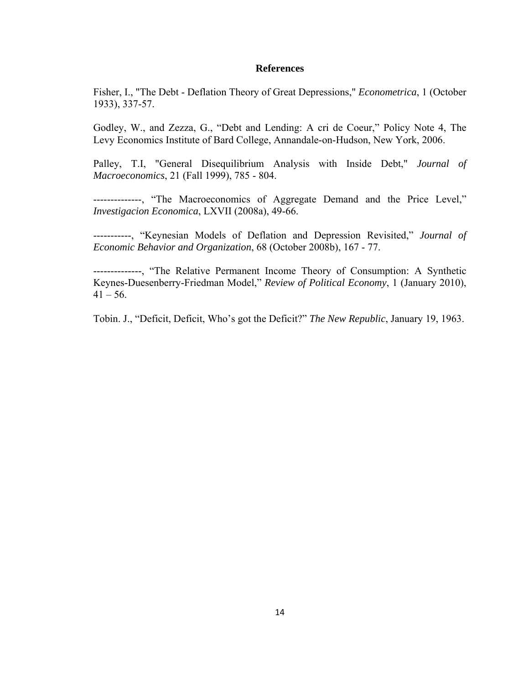#### **References**

Fisher, I., "The Debt - Deflation Theory of Great Depressions," *Econometrica*, 1 (October 1933), 337-57.

Godley, W., and Zezza, G., "Debt and Lending: A cri de Coeur," Policy Note 4, The Levy Economics Institute of Bard College, Annandale-on-Hudson, New York, 2006.

Palley, T.I, "General Disequilibrium Analysis with Inside Debt," *Journal of Macroeconomics*, 21 (Fall 1999), 785 - 804.

--------------, "The Macroeconomics of Aggregate Demand and the Price Level," *Investigacion Economica*, LXVII (2008a), 49-66.

-----------, "Keynesian Models of Deflation and Depression Revisited," *Journal of Economic Behavior and Organization*, 68 (October 2008b), 167 - 77.

--------------, "The Relative Permanent Income Theory of Consumption: A Synthetic Keynes-Duesenberry-Friedman Model," *Review of Political Economy*, 1 (January 2010),  $41 - 56$ .

Tobin. J., "Deficit, Deficit, Who's got the Deficit?" *The New Republic*, January 19, 1963.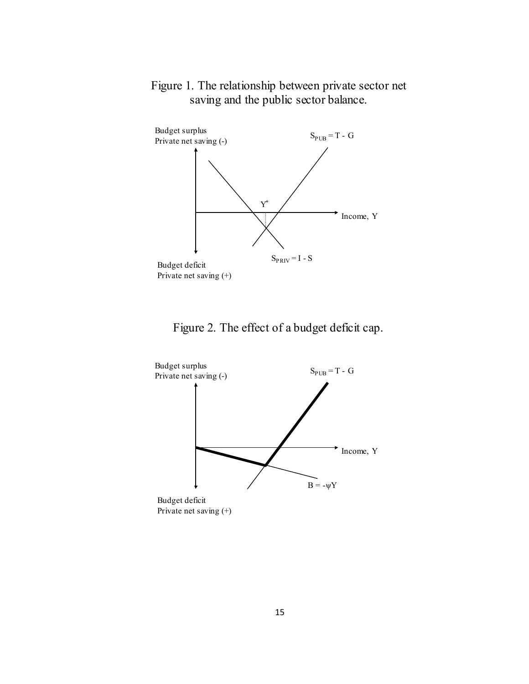

### Figure 1. The relationship between private sector net saving and the public sector balance.





Private net saving (+)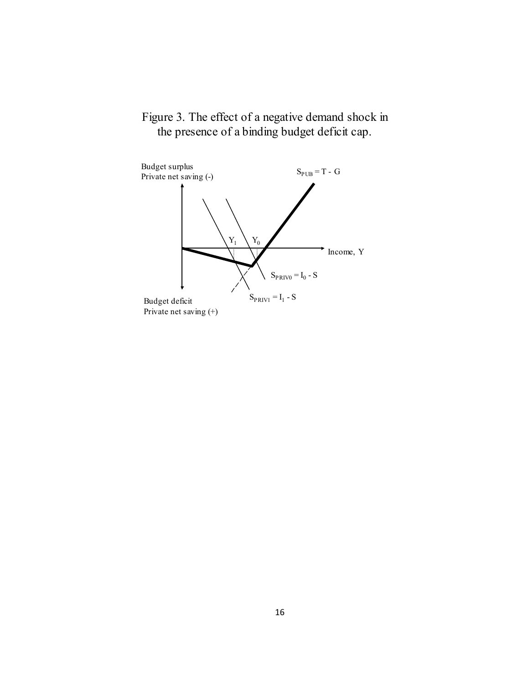